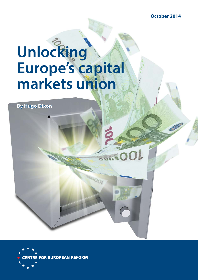**October 2014**

# Unlocking **Europe's capital markets union**

**JOOL** 

**By Hugo Dixon y Dixon**

**FOR EUROPEAN REFORM**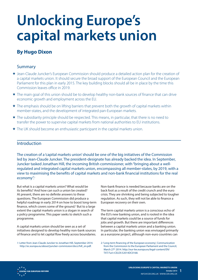# **Unlocking Europe's capital markets union**

# **By Hugo Dixon**

## Summary

- Jean-Claude Juncker's European Commission should produce a detailed action plan for the creation of a capital markets union. It should secure the broad support of the European Council and the European Parliament for this plan in early 2015. The key building blocks should all be in place by the time this Commission leaves office in 2019.
- \* The main goal of this union should be to develop healthy non-bank sources of finance that can drive economic growth and employment across the EU.
- $\star$  The emphasis should be on lifting barriers that prevent both the growth of capital markets within member-states, and the development of integrated pan-European markets.
- \* The subsidiarity principle should be respected. This means, in particular, that there is no need to transfer the power to supervise capital markets from national authorities to EU institutions.
- \* The UK should become an enthusiastic participant in the capital markets union.

### Introduction

The creation of a 'capital markets union' should be one of the big initiatives of the Commission led by Jean-Claude Juncker. The president-designate has already backed the idea. In September, Juncker tasked Jonathan Hill, the incoming British commissioner, with "bringing about a wellregulated and integrated capital markets union, encompassing all member-states, by 2019, with a view to maximising the benefits of capital markets and non-bank financial institutions for the real economy".<sup>1</sup>

But what is a capital markets union? What would be its benefits? And how can such a union be created? At present, there are no definite answers to these questions. The European Commission did produce a helpful roadmap in early 2014 on how to boost long-term finance, which covers some of the ground.<sup>2</sup> But to a large extent the capital markets union is a slogan in search of a policy programme. This paper seeks to sketch such a programme.

A capital markets union should be seen as a set of initiatives designed to develop healthy non-bank sources of finance and to let capital flow freely across boundaries.

1: Letter from Jean-Claude Juncker to Jonathan Hill, September 2014. http://ec.europa.eu/about/juncker-commission/docs/hill\_en.pdf.

Non-bank finance is needed because banks are on the back foot as a result of the credit crunch and the euro crisis. They are shrinking and being subjected to tougher regulation. As such, they will not be able to finance a European recovery on their own.

The term capital markets union is a conscious echo of the EU's new banking union, and is rooted in the idea that capital markets could be a source of funds for jobs and growth. But there are important differences between a capital markets union and a banking union. In particular, the banking union was envisaged primarily as a eurozone project, although non-euro countries can

2: 'Long-term financing of the European economy', Communication from the Commission to the European Parliament and the Council, March 27th 2014. http://eur-lex.europa.eu/legal-content/EN/ TXT/?uri=CELEX:52014DC0168.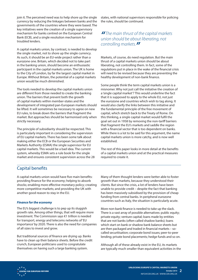join it. The perceived need was to help shore up the single currency by reducing the linkages between banks and the governments of the countries where they were based. The key initiatives were the creation of a single supervisory mechanism for banks centred on the European Central Bank (ECB), and a single resolution mechanism for troubled lenders.

A capital markets union, by contrast, is needed to develop the single market, not to shore up the single currency. As such, it should be an EU-wide project rather than a eurozone one. Britain, which decided not to take part in the banking union, should become an enthusiastic participant in the capital markets union. The UK is home to the City of London, by far the largest capital market in Europe. Without Britain, the potential of a capital markets union would be much diminished.

The tools needed to develop the capital markets union are different from those needed to create the banking union. The barriers that prevent both the growth of capital markets within member-states and the development of integrated pan-European markets should be lifted. It will sometimes be necessary to agree on new EU rules, to break down the barriers that fragment the market. But approaches should be harmonised only when strictly necessary.

The principle of subsidiarity should be respected. This is particularly important in considering the supervision of EU capital markets. There has been some talk about making either the ECB or the European Securities and Markets Authority (ESMA) the single supervisor for EU capital markets. This would be a bad idea. The current system, whereby ESMA sets a rule book for the single market and ensures consistent supervision across the 28

states, with national supervisors responsible for policing the rules, should be continued.

# **"** The main thrust of the capital markets union should be about liberating, not controlling markets.**"**

Markets, of course, do need regulation. But the main thrust of a capital markets union should be about liberating, not controlling them. In fact, some of the regulations put in place in the wake of the financial crisis will need to be revised because they are preventing the healthy development of non-bank finance.

Some people think the term capital markets union is a misnomer. Why not just call the initiative the creation of a 'single capital market'? This would underline the fact that it is supposed to apply to the whole EU, not just the eurozone and countries which wish to tag along. It would also clarify the links between this initiative and the fundamental principle of the free movement of capital, which stretch back to the Treaty of Rome. On this thinking, a single capital market would fulfil the goal set out in 1958 by removing the non-tariff barriers that fragment the EU's markets and saddle the region with a financial sector that is too dependent on banks. While there is a lot to be said for this argument, the name capital markets union is more catchy, and is now well established.

The rest of this paper looks in more detail at the benefits of a capital markets union and at the practical measures required to create it.

# Capital benefits

A capital markets union would have five main benefits: providing finance for the economy; helping to absorb shocks; enabling more effective monetary policy; creating more competitive markets; and providing the UK with another good reason to stay in the EU.

#### **Finance for the economy**

The EU's biggest challenge is to pep up its sluggish growth rate. Among other things, that will require more investment. The Commission says €1 trillion is needed for transport, energy and telecoms networks of 'EU importance' by 2020. There is also the need for companies of all sizes to invest and grow.

But traditional sources of finance are drying up. Banks have to clean up their balance sheets. Before the credit crunch, European politicians used to congratulate themselves on having such a large banking system.

Many of them thought lenders were better able to foster growth than markets, because they understood their clients. But since the crisis, a lot of lenders have been unable to provide credit – despite the fact that banking has been massively subsidised by the provision of cheap funding from central banks. In peripheral eurozone countries such as Italy, the situation is particularly acute.

More non-bank finance is needed to take up the slack. There is a vast array of possible alternatives: public equity; private equity; venture capital; loans made by entities that are not banks (often called shadow banks); loans which start on bank or shadow bank balance sheets but are then packaged and traded in financial markets - socalled securitisation; corporate bond issues; peer-to-peer lending; private bond placements; hedge funds and so on.

Although all of these already exist in the EU, its markets are typically much smaller than equivalent activities in the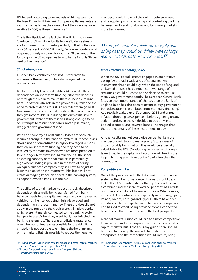US. Indeed, according to an analysis of 26 measures by the New Financial think-tank, Europe's capital markets are roughly half as big as they would be if they were as large, relative to GDP, as those in America.3

This is the flipside of the fact that the EU is much more 'bank-centric' than America. Its lenders' balance sheets are four times gross domestic product; in the US they are only 80 per cent of GDP.<sup>4</sup> Similarly, European non-financial corporations rely on banks for roughly 70 per cent of their funding, while US companies turn to banks for only 30 per cent of their finance. $5$ 

#### **Shock absorption**

Europe's bank-centricity does not just threaten to undermine the recovery. It has also magnified the original crisis.

Banks are highly leveraged entities. Meanwhile, their dependence on short-term funding, either via deposits or through the markets, makes them vulnerable to runs. Because of their vital role in the payments system and the need to protect depositors, it is risky to let them go bust. Governments feel compelled to ride to their rescue when they get into trouble. But, during the euro crisis, several governments were not themselves strong enough to do so. Attempts to rescue their banks, notably in Ireland, dragged down governments too.

When an economy hits difficulties, losses are of course incurred throughout the financial system. But these losses should not be concentrated in highly-leveraged vehicles that rely on short-term funding and may need to be rescued by the state. Investors who are more prepared to take a longer-term view should take the hit. The shockabsorbing capacity of capital markets is particularly high when funding is provided in the form of equity. An equity-financed company may still have to adjust its business plan when it runs into trouble, but it will not create damaging knock-on effects in the banking system, as happens when a bank is in trouble.

The ability of capital markets to act as shock-absorbers depends on risks really being transferred from bank balance sheets to the capital markets – and on the market vehicles not themselves being highly-leveraged and dependent on short-term money. These provisos did not apply in the run-up to the credit crunch. Shadow banks, which were intimately connected to the banking system, had proliferated. When they went bust, they infected the banking system too. There was also little transparency over who was ultimately responsible for the risks. Panic ensued. It is not possible to eliminate the herd instinct of the markets. But it is possible to reduce the negative

3: 'Driving growth: Making the case for bigger and better capital markets in Europe', New Financial, September 2014.

4: 'Finance for growth', High Level Expert Group on SME and Infrastructure financing, 2013.

macroeconomic impact of the swings between greed and fear, principally by reducing and controlling the links between banks and non-banks and by making markets more transparent.

**"** Europe's capital markets are roughly half as big as they would be, if they were as large, relative to GDP, as those in America.**"**

#### **More effective monetary policy**

When the US Federal Reserve engaged in quantitative easing (QE), it had a wide array of capital market instruments that it could buy. When the Bank of England embarked on QE, it had a much narrower range of securities it could purchase and so decided to acquire mainly UK government bonds. The European Central Bank faces an even poorer range of choices than the Bank of England but it has also been reluctant to buy government bonds because it is prohibited from 'monetary financing'. As a result, it waited until September 2014 and annual inflation dropping to 0.3 per cent before agreeing on any action – and, even then, it decided to buy only assetbacked securities and covered bonds. The snag is that there are not many of these instruments to buy.

A richer capital market could give central banks more macroeconomic tools to manage any future cases of uncomfortably low inflation. This would be especially valuable for the ECB. Developing such markets, though, takes time. So the capital markets union will be of more help in fighting any future bout of 'lowflation' than the current one.

#### **Competitive markets**

One of the problems with the EU's bank-centric financial system is that it is not as competitive as it should be. In half of the EU's member-states, the top five lenders have a combined market share of over 60 per cent. As a result, customers often do not have much choice. What is more, in several EU countries – and especially in Germany, Spain, Ireland, Greece, Portugal and Cyprus – there have been incestuous relationships between banks and companies. This has led to credit being provided to well-connected businesses rather than those with the best prospects.

A capital markets union could lead to a more competitive financial system. Large corporates can already access the capital markets. But, if the US is any guide, there should be scope to open up the markets to medium-sized enterprises. And the competition would, in turn, bring

5: 'Funding the EU economy: The role of banks and financial markets', Association for Financial Markets in Europe, July 2014.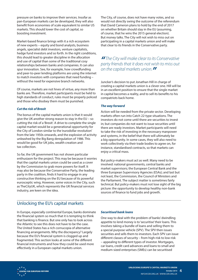pressure on banks to improve their services. Insofar as pan-European markets can be developed, they will also benefit from economies of scale equivalent to similar US markets. This should lower the cost of capital, so boosting investment.

Market-based finance brings with it a rich ecosystem of new experts – equity and bond analysts, business angels, specialist debt investors, venture capitalists, hedge fund investors and so forth. In the right conditions, this should lead to greater discipline in the allocation and use of capital than some of the traditional cosy relationships between banks and companies. It can also spur innovation. See, for example, how crowdfunding and peer-to-peer lending platforms are using the internet to match investors with companies that need funding – without the need for expensive branch networks.

Of course, markets are not hives of virtue, any more than banks are. Therefore, market participants must be held to high standards of conduct, rules must be properly policed and those who disobey them must be punished.

#### **Cut the risk of Brexit**

The bonus of the capital markets union is that it would give the UK another strong reason to stay in the EU – so cutting the risk of a 'Brexit'. A drive to complete the single capital market would be a generational opportunity for the City of London similar to the 'eurodollar revolution' from the late 1950s onwards, and the explosion of activity unleashed by the Big Bang deregulation of 1986. This would be good for UK jobs, wealth creation and tax collection.

So far, the UK government has not shown particular enthusiasm for the project. This may be because it worries that the capital markets union could be used as a cover by the Commission to grab more powers for itself. It may also be because the Conservative Party, the leading party in the coalition, finds it hard to engage in any constructive thinking on the EU because of its powerful eurosceptic wing. However, some voices in the City, such as TheCityUK, which represents the UK financial services industry, are keen on the idea.

The City, of course, does not have many votes, and so would not directly swing the outcome of the referendum that David Cameron plans to hold by the end of 2017 on whether Britain should stay in the EU (assuming, of course, that he wins the 2015 general election). But money talks. The City will not wish to miss out on participating in a capital markets union and will make that clear to its friends in the Conservative party.

**"** The City will make clear to its Conservative party friends that it does not wish to miss out on the capital markets union.**"**

Juncker's decision to put Jonathan Hill in charge of creating a capital markets union is a clever one. Hill will be in an excellent position to ensure that the single market in capital becomes a reality, and to sell its benefits to his compatriots back home.

#### **The way forward**

Action will be needed from the private sector. Developing markets often run into Catch 22-type situations. The investors do not come until there are securities to invest in; but companies do not want to issue securities until there are ready investors. Market participants will need to take the risk of investing in the necessary manpower and systems, in the belief that there will ultimately be a big opportunity. In some cases, they will also need to work collectively via their trade bodies to agree on, for instance, standardised contracts, so that markets can enjoy a critical mass.

But policy-makers must act as well. Many need to be involved: national governments, central banks and market supervisors; the European Central Bank and the three European Supervisory Agencies (ESAs); and last but not least, the Commission, the Council of Ministers and the Parliament. The subject matter is sometimes fairly technical. But policy-makers must not lose sight of the big picture: the opportunity to develop healthy non-bank sources of finance to fund jobs and growth.

# Unlocking the EU's capital markets

In Europe, especially continental Europe, banks dominate the financial system so much that it is tempting to think that banking is finance. But one only has to look across the Atlantic to see this does not have to be the case. The United States has a rich cornucopia of alternative financing arrangements. Why the discrepancy? Largely because the EU's financial system is clogged up and fragmented. This section looks at some of the different financial instruments and how they could be used more effectively in a European capital markets union.

#### **Securitised bank loans**

One way to deal with the problem of banks' dwindling appetite to lend money is to 'securitise' their loans. This involves taking a bundle of loans and selling them to a special purpose vehicle (SPV). The SPV then issues securities and sells them to investors. Each SPV can issue different classes of security – from high-risk to low-risk – appealing to different types of investor. Mortgages, car loans, credit card advances and loans to small and medium-sized enterprises (SMEs) can be securitised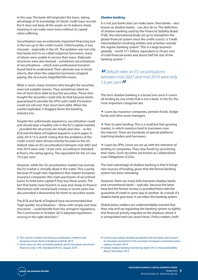in this way. The bank still 'originates' the loans, taking advantage of its knowledge of clients' credit track records. But it does not keep all the assets on its balance sheet, meaning it can make more loans without its capital ratios suffering.

Securitisation was an extremely important financing tool in the run-up to the credit crunch. Unfortunately, it was misused – especially in the US. The problem was not only that banks lent to so-called subprime borrowers, many of whom were unable to service their loans. Elaborate structures were also devised – sometimes securitisations of securitisations – which even professional investors found hard to understand. Their rationale was to boost returns. But when the subprime borrowers stopped paying, the structures magnified the losses.

What is more, many investors who bought the securities were not suitable owners. They sometimes relied on lots of short-term debt to buy the securities. Those who bought the securities could only do that because banks guaranteed to provide the SPVs with credit if investors could not roll over their short-term debt. When the market exploded, it dragged down the banking industry too.

Despite this unfortunate experience, securitisation could and should play a healthy role in the EU's capital markets – provided the structures are simple and clear – as the ECB and the Bank of England argued in a joint paper in early 2014.<sup>6</sup> It is worth noting that the problems of the credit crunch were almost entirely focused on the US. Default rates on EU securitisations between mid-2007 and mid-2014 were only 1.6 per cent, according to Standard & Poor's, the rating agency. The equivalent for the US was 19.3 per cent. $7$ 

However, while the US securitisation market has revived, the EU market is virtually dead in the water. This is partly because of tough new regulations that require European insurance companies (the main purchasers of securitised loans) to hold extra capital if they buy these assets. The fact that banks have found it so easy and cheap to finance themselves with central bank money in recent years has also provided a disincentive for them to securitise assets.

The ECB and Bank of England have recommended that 'high-quality' securitisations – those with simple and clear structures - could benefit from less stringent regulations. The Commission in October 2014 adopted regulations moving in the right direction.8

#### **Shadow banking**

It is not just banks that can make loans. Non-banks – also known as shadow banks – can also do so. The definition of shadow banking used by the Financial Stability Board (FSB), the international body set up to strengthen the global financial system since the credit crunch, is "credit intermediation involving entities and activities outside the regular banking system". This is a large business globally – worth \$71 trillion, equivalent to 24 per cent of total financial assets and about half the size of the banking system.<sup>9</sup>

# **"**Default rates on EU securitisations between mid-2007 and mid-2014 were only 1.6 per cent.**"**

The term shadow banking is a broad one since it covers all lending by any entity that is not a bank. In the EU, the most important categories are:

 $\star$  Loans by insurance companies, pension funds, hedge funds and other asset managers.

 $\star$  Peer-to-peer lending. This is a small but fast-growing market, in which investors lend to borrowers over the internet. There are hundreds of special platforms matching lenders and borrowers.

 $\star$  Loans by SPVs. Some are set up with the intention of lending to companies. They raise funds by securitising their loans. Such securities are known as Collateralised Loan Obligations (CLOs).

The main advantage of shadow banking is that it brings new sources of funding, given that the formal banking system has been retreating.

However, there are many links between shadow banks and conventional banks – typically because the latter have lent the former money or provided them with the guarantee of credit in some way or another. As a result, if a shadow bank goes bust, it can infect the banking system.

Global policy-makers are understandably worried that they may end up regulating the banking system so tightly that financial activity migrates to the shadows where it is unregulated and can cause havoc. Policy-makers, both

6: 'The case for a better functioning securitisation market in the European Union', Bank of England and ECB, 2014.

7: 'Seven years on, the cumulative default rate for European structured finance is only 1.6%', Standard & Poor's, August 2014.

<sup>8:</sup> 'Commission adopts detailed prudential rules for banks and insurers to stimulate investment in the economy', European Commission press release, October 2014.

<sup>9:</sup> 'Global shadow banking monitoring report 2013', Financial Stability Board, November 2013.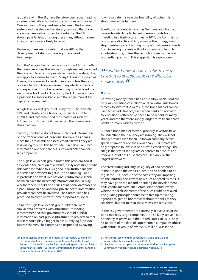globally and in the EU, have therefore been spearheading a series of initiatives to make sure this does not happen.10 One involves putting fire-breaks between the banking system and the shadow banking system – so that banks are not excessively exposed to non-banks. The EU should pass legislation along these lines, although some interconnections are likely to remain.

However, there are four rules that are stifling the development of shadow banking. These need to be changed.

First, the 'passport' which allows investment firms to offer their services across the whole EU single market, provided they are regulated appropriately in their home state, does not apply to shadow banking. Many EU countries, such as France, stop non-banks lending money unless they also obtain a banking licence – something which is onerous and expensive. This is because lending is considered the exclusive role of banks. As a result, the EU does not have a passport for shadow banks and the single market for capital is fragmented.

A high-level expert group set up by the EU to look into SME and infrastructure financing noted this problem in 2013, and recommended the creation of such an EU passport.<sup>11</sup> It is a good idea, which the Commission should act on.

Second, non-banks do not have such good information on the track records of individual borrowers as banks. Since they are unable to assess credit risk well, they are less willing to lend. This harms SMEs in particular, since information on their finances is less available than for big companies.

The high-level expert group noted this problem, too. It advocated the creation of a robust, easily accessible credit risk database. While this is a good idea, further analysis is needed of how best to get it up and running – and in particular, on what role national central banks (some of which have the necessary information) should play, whether there should be a series of national databases or a pan-European one, and how private-sector information providers can best be involved. The Commission has promised to come up with some proposals this year.

Third, the high-level expert group said there were similar data problems with infrastructure lending. It recommended that governments should publish information on past public infrastructure projects so that markets could play a bigger role in supplying funds for future schemes. The Commission responded by saying

it will evaluate this year the feasibility of doing this. It should make this happen.

Fourth, some countries, such as Germany and Austria, have rules which de facto limit pension funds from investing in infrastructure. In early 2014, the Commission proposed a directive which, among other things, would stop member-states banning occupational pension funds from investing in assets with a long-term profile such as infrastructure, unless the restrictions are justified on prudential grounds.12 This suggestion is a good one.

# **"** Shadow banks should be able to get a passport to operate across the whole EU single market.**"**

#### **Bonds**

Borrowing money from a bank or shadow bank is not the only way of raising cash. Borrowers can also issue bonds directly to investors. As a result, the bond market can be used to provide finance, even when banks do not want to lend. Bonds often do not need to be repaid for many years, and can therefore supply longer-term finance than banks normally wish to provide.

But for a bond market to work properly, investors have to understand the risks they are running. They will not simply provide cash for an unknown company. A few specialist investors do their own analysis. But most are only prepared to invest in bonds with credit ratings. The snag is that credit ratings are expensive to procure and involve a lot of hassle. So they are used only by the largest borrowers.

The credit rating industry was guilty of bad practices in the run up to the credit crunch, and so needed to be regulated. But, because of the costs they are imposing on the industry, the slew of new rules adopted by the EU may have gone too far and be stifling the development of its capital markets. The Commission should review whether specific elements of the rules could be relaxed. The guiding principle should be to free up the rating agencies to give an honest view about the risks as they see them, but not to treat these views as sacrosanct.

In the EU, governments are extremely active users of the bond markets. Large companies are also fairly active – but not nearly as active as in the United States. In 2011, only 55 per cent of the debt of large German companies (those with annual revenue of over \$500 million) was in the

<sup>10:</sup> 'Strengthening oversight and regulation of shadow banking: An overview of policy recommendations', Financial Stability Board, August 2013. Also 'Shadow banking: Addressing new sources of risk in the financial sector', European Commission to the Council and the European Parliament, September 2013.

<sup>11:</sup> 'Finance for growth', High Level Expert Group on SME and Infrastructure financing, January 23rd 2014.

<sup>12:</sup> 'Revision of the occupational pension funds directive', European Commission frequently asked questions, March 2014.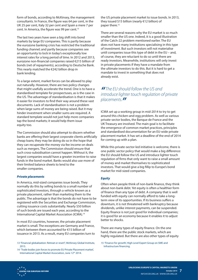form of bonds, according to McKinsey, the management consultants. In France, the figure was 64 per cent, in the UK 25 per cent, Italy 32 per cent and Spain a mere 7 per cent. In America, the figure was 99 per cent.<sup>13</sup>

The last two years have seen a big shift into bond markets by large EU companies. This is partly because the eurozone banking crisis has restricted the traditional funding channel; and partly because companies see an opportunity to lock in today's exceptionally low interest rates for a long period of time. In 2012 and 2013, eurozone non-financial companies raised €215 billion of bonds (net of repayments), according to Deutsche Bank. This nearly matched the €242 billion drop in bank lending.

To a large extent, market forces can be allowed to play out naturally. However, there are two policy changes that might usefully accelerate the trend. One is to have a standardised template for prospectuses, as is the case in the US. The advantage of standardisation is that it makes it easier for investors to find their way around these vast documents. Lack of standardisation is not a problem when large sums of money are being raised. But it may hinder investment when smaller sums are required. A standard template would not just help more companies tap the bond markets; it would help them issue equity too.

The Commission should also attempt to discern whether banks are offering their largest corporate clients artificially cheap loans; they may be doing do so in the hope that they can recuperate the money via fee income on deals such as mergers. The Commission should ensure that such cross-subsidisation cannot happen. Without it, the largest companies would have a greater incentive to raise funds in the bond market. Banks would also use more of their limited balance sheets to lend to the smaller companies.

#### **Private placements**

In America, mid-sized companies issue bonds. They normally do this by selling bonds to a small number of sophisticated investors, through a vehicle known as a private placement, rather than marketing them to the public. The advantage is that the bonds do not have to be registered with the Securities and Exchange Commission, cutting issuance costs substantially. Nearly \$50 billion of such bonds are issued each year, according to the International Capital Market Association (ICMA).14

In most EU countries, however, the private placement market is small. The exceptions are Germany and France, which between them accounted for €15 billion of issuance in 2013. As a result, many EU companies turn to

13: 'Financial globalization: Retreat or reset?', McKinsey Global Institute, 2013.

14: 'Trade bodies join forces to promote EU Private Placement market', International Capital Market Association, June 12<sup>th</sup> 2014.

the US private placement market to issue bonds. In 2013, they issued \$15 billion (nearly €12 billion) of paper there.15

There are several reasons why the EU market is so much smaller than the US one. Indeed, it is a good illustration of the Catch-22 problem mentioned earlier. The EU does not have many institutions specialising in this type of investment. But such investors will not materialise until companies issue this type of debt in the EU – and, of course, they are reluctant to do so until there are ready investors. Meanwhile, institutions will only invest in private placements if they have a mandate from the ultimate investors to do this. But it is hard to get a mandate to invest in something that does not already exist.

# **II** The EU should follow the US and<br>introduce lighter touch regulation of private placements.**"**

ICMA set up a working group in mid-2014 to try to get around this chicken-and-egg problem. As well as various private-sector bodies, the Banque de France and the UK Treasury are involved. The main goal is to facilitate the emergence of common market practices, principles and standardised documentation for an EU-wide private placement market. It has set a deadline of the end of 2014 for coming up with a plan.

While this private-sector-led initiative is welcome, there is one public sector policy that would make a big difference: the EU should follow the US and introduce lighter touch regulation of firms that only want to raise a small amount of money and market themselves to sophisticated investors. That would give a big fillip to Europe's bond market for mid-sized companies.

#### **Equity**

Often when people think of non-bank finance, they think about non-bank debt. Yet equity is often a healthier form of finance than any type of debt. A company that is well funded with equity can normally afford to take a longterm view of its opportunities. If its business suffers a downturn, it is not threatened with bankruptcy because dividends, unlike interest payments, can be suspended. Equity finance is not just good for individual companies; it is good for an economy because it enables it to adjust better to shocks.

There are many types of equity finance. On the one hand, there are the public stock markets, which are highly regulated. But there are also other types of equity

15: 'Finance for growth', High Level Expert Group on SME and Infrastructure financing.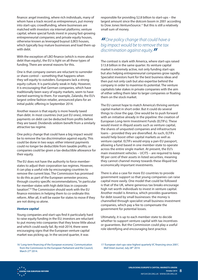finance: angel investing, where rich individuals, many of whom have a track record as entrepreneurs, put money into start-ups; crowdfunding, where businesses are matched with investors via internet platforms; venture capital, where special funds invest in young fast-growing entrepreneurial companies; and private equity houses, otherwise known as leveraged buyout (LBO) houses, which typically buy mature businesses and load them up with debt.

With the exception of LBO finance (which is more about debt than equity), the EU is light on all these types of funding. There are several reasons for this.

One is that company owners are reluctant to surrender or share control – something that happens when they sell equity to outsiders. Europeans lack a strong equity culture. It is particularly weak in Italy. However, it is encouraging that German companies, which have traditionally been wary of equity markets, seem to have started warming to them. For example, Zalando, the EU's largest online fashion retailer, announced plans for an initial public offering in September 2014.

Another reason is that equity is more heavily taxed than debt. In most countries (not just EU ones), interest payments on debt can be deducted from profits before they are taxed. Dividends seldom benefit from a similarly attractive tax regime.

One policy change that could have a big impact would be to remove the tax discrimination against equity. This could be done in two ways: either interest payments could no longer be deductible from taxable profits; or companies could be given a tax-deductible allowance for their equity.

The EU does not have the authority to force memberstates to adjust their corporation tax regimes. However, it can play a useful role by encouraging countries to remove the current bias. The Commission has promised to do this as part of the European semester process, through country specific recommendations, "in particular for member-states with high debt bias in corporate taxation".16 The Commission should work with the EU finance ministers in helping them to co-ordinate this reform. After all, it will be easier for states to move if they are not doing so alone.

#### **Venture capital**

Young companies and start-ups find it particularly hard to raise equity funding in the EU; investors are reluctant to put money into companies that they know little about and which could easily fail. By mid-2014, there were encouraging signs that the European venture capital market was picking up. In the second quarter, it was

responsible for providing \$2.8 billion to start-ups – the largest amount since the dotcom boom in 2001 according to Dow Jones VentureSource.<sup>17</sup> But this is still a relatively small sum of money.

# **"**One policy change that could have a big impact would be to remove the tax discrimination against equity.**"**

The contrast is stark with America, where start-ups raised \$13.8 billion in the same quarter. Its venture capital market is extremely active, not only funding start-ups but also helping entrepreneurial companies grow rapidly. Specialist investors hunt for the best business ideas and then put not only cash but also expertise behind the company in order to maximise its potential. The venture capitalists take stakes in private companies with the aim of either selling them later to larger companies or floating them on the stock market.

The EU cannot hope to match America's thriving venture capital market in short order. But it could do several things to close the gap. One would be to push forward with an initiative already in the pipeline: the creation of European Long-term Investment Funds (ELTIFs). These would invest in illiquid assets such as venture capital, the shares of unquoted companies and infrastructure loans – provided they are diversified. As such, ELTIFs would help boost other capital markets as well as venture capital. ELTIFs would enjoy a pan-EU passport, allowing a fund based in one member-state to operate across the entire single market. At present, the EU's main investment vehicles – UCITS – are required to keep 90 per cent of their assets in listed securities, meaning they cannot channel money towards these illiquid but economically important investments.

There is also a case for more EU countries to provide government support so that young companies can raise capital more easily. One model that could be followed is that of the UK, where generous tax breaks encourage high net worth individuals to invest in venture capital. Another model is America, which provides guarantees for debt issued by small businesses: the money is channelled through specialist small business investment companies, which pay a fee to compensate the government for potential losses.

Ultimately, it is up to each member-state to decide whether to support venture capital with tax incentives or guarantees. But the Commission could play a useful role identifying and encouraging best practice.

<sup>16: &#</sup>x27;Long-term financing of the European economy', Communication from the Commission to the European Parliament and the Council, March 27<sup>th</sup> 2014.

<sup>17: &#</sup>x27;European start-ups raise highest quarterly VC financing since 2001', Wall Street Journal, July 28<sup>th</sup> 2014.